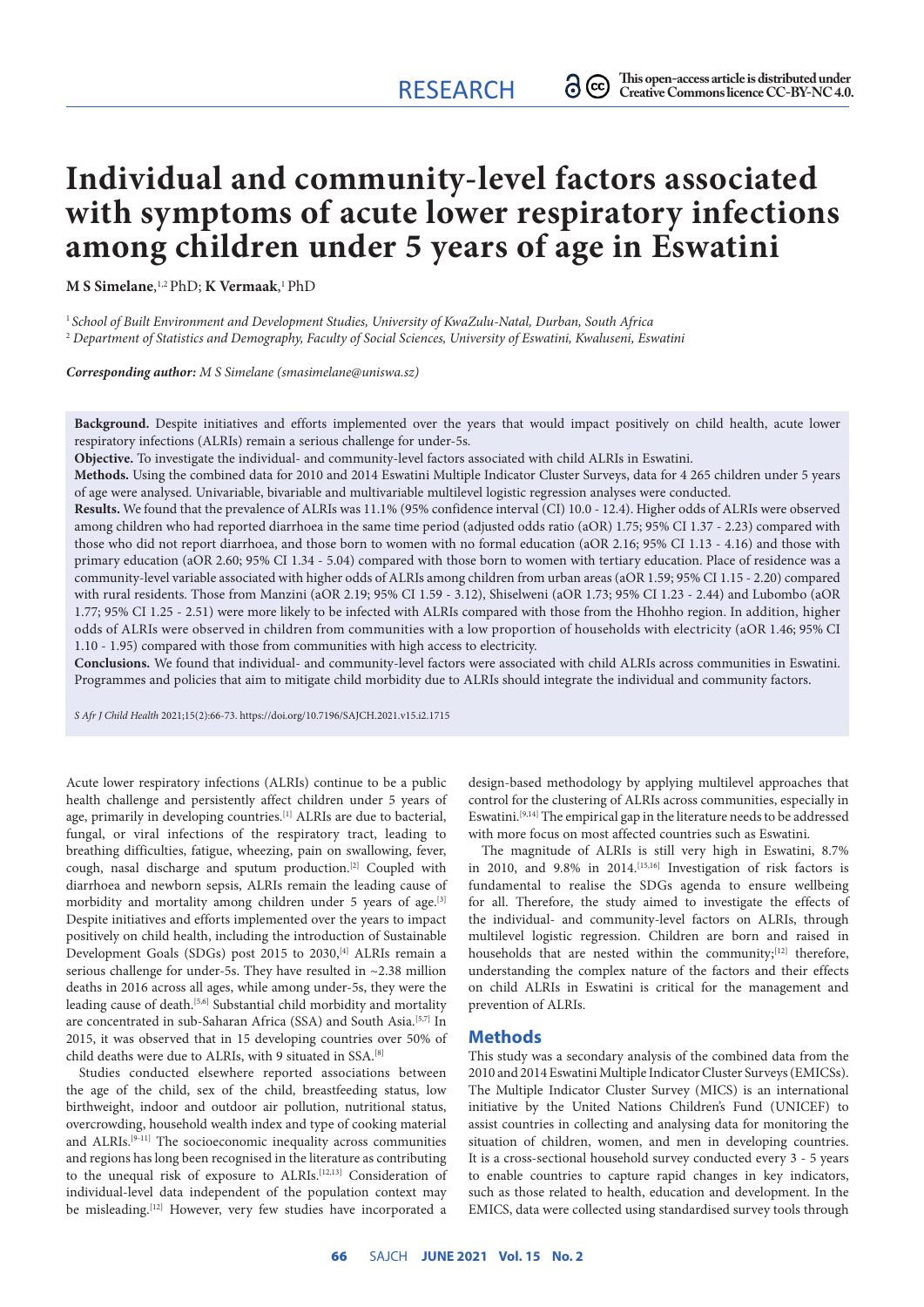# **Individual and community-level factors associated with symptoms of acute lower respiratory infections among children under 5 years of age in Eswatini**

**M S Simelane**, 1,2 PhD; **K Vermaak**, 1 PhD

<sup>1</sup>*School of Built Environment and Development Studies, University of KwaZulu-Natal, Durban, South Africa*  <sup>2</sup> *Department of Statistics and Demography, Faculty of Social Sciences, University of Eswatini, Kwaluseni, Eswatini*

*Corresponding author: M S Simelane ([smasimelane@uniswa.sz](mailto:smasimelane@uniswa.sz))*

**Background.** Despite initiatives and efforts implemented over the years that would impact positively on child health, acute lower respiratory infections (ALRIs) remain a serious challenge for under-5s.

**Objective.** To investigate the individual- and community-level factors associated with child ALRIs in Eswatini.

**Methods.** Using the combined data for 2010 and 2014 Eswatini Multiple Indicator Cluster Surveys, data for 4 265 children under 5 years of age were analysed. Univariable, bivariable and multivariable multilevel logistic regression analyses were conducted.

**Results.** We found that the prevalence of ALRIs was 11.1% (95% confidence interval (CI) 10.0 - 12.4). Higher odds of ALRIs were observed among children who had reported diarrhoea in the same time period (adjusted odds ratio (aOR) 1.75; 95% CI 1.37 - 2.23) compared with those who did not report diarrhoea, and those born to women with no formal education (aOR 2.16; 95% CI 1.13 - 4.16) and those with primary education (aOR 2.60; 95% CI 1.34 - 5.04) compared with those born to women with tertiary education. Place of residence was a community-level variable associated with higher odds of ALRIs among children from urban areas (aOR 1.59; 95% CI 1.15 - 2.20) compared with rural residents. Those from Manzini (aOR 2.19; 95% CI 1.59 - 3.12), Shiselweni (aOR 1.73; 95% CI 1.23 - 2.44) and Lubombo (aOR 1.77; 95% CI 1.25 - 2.51) were more likely to be infected with ALRIs compared with those from the Hhohho region. In addition, higher odds of ALRIs were observed in children from communities with a low proportion of households with electricity (aOR 1.46; 95% CI 1.10 - 1.95) compared with those from communities with high access to electricity.

**Conclusions.** We found that individual- and community-level factors were associated with child ALRIs across communities in Eswatini. Programmes and policies that aim to mitigate child morbidity due to ALRIs should integrate the individual and community factors.

*S Afr J Child Health* 2021;15(2):66-73. <https://doi.org/10.7196/SAJCH.2021.v15.i2.1715>

Acute lower respiratory infections (ALRIs) continue to be a public health challenge and persistently affect children under 5 years of age, primarily in developing countries.<sup>[1]</sup> ALRIs are due to bacterial, fungal, or viral infections of the respiratory tract, leading to breathing difficulties, fatigue, wheezing, pain on swallowing, fever, cough, nasal discharge and sputum production.[2] Coupled with diarrhoea and newborn sepsis, ALRIs remain the leading cause of morbidity and mortality among children under 5 years of age.<sup>[3]</sup> Despite initiatives and efforts implemented over the years to impact positively on child health, including the introduction of Sustainable Development Goals (SDGs) post 2015 to 2030,[4] ALRIs remain a serious challenge for under-5s. They have resulted in ~2.38 million deaths in 2016 across all ages, while among under-5s, they were the leading cause of death.[5,6] Substantial child morbidity and mortality are concentrated in sub-Saharan Africa (SSA) and South Asia.[5,7] In 2015, it was observed that in 15 developing countries over 50% of child deaths were due to ALRIs, with 9 situated in SSA.[8]

Studies conducted elsewhere reported associations between the age of the child, sex of the child, breastfeeding status, low birthweight, indoor and outdoor air pollution, nutritional status, overcrowding, household wealth index and type of cooking material and ALRIs.[9-11] The socioeconomic inequality across communities and regions has long been recognised in the literature as contributing to the unequal risk of exposure to ALRIs.[12,13] Consideration of individual-level data independent of the population context may be misleading.<sup>[12]</sup> However, very few studies have incorporated a

design-based methodology by applying multilevel approaches that control for the clustering of ALRIs across communities, especially in Eswatini.[9,14] The empirical gap in the literature needs to be addressed with more focus on most affected countries such as Eswatini.

The magnitude of ALRIs is still very high in Eswatini, 8.7% in 2010, and 9.8% in 2014.[15,16] Investigation of risk factors is fundamental to realise the SDGs agenda to ensure wellbeing for all. Therefore, the study aimed to investigate the effects of the individual- and community-level factors on ALRIs, through multilevel logistic regression. Children are born and raised in households that are nested within the community;<sup>[12]</sup> therefore, understanding the complex nature of the factors and their effects on child ALRIs in Eswatini is critical for the management and prevention of ALRIs.

#### **Methods**

This study was a secondary analysis of the combined data from the 2010 and 2014 Eswatini Multiple Indicator Cluster Surveys (EMICSs). The Multiple Indicator Cluster Survey (MICS) is an international initiative by the United Nations Children's Fund (UNICEF) to assist countries in collecting and analysing data for monitoring the situation of children, women, and men in developing countries. It is a cross-sectional household survey conducted every 3 - 5 years to enable countries to capture rapid changes in key indicators, such as those related to health, education and development. In the EMICS, data were collected using standardised survey tools through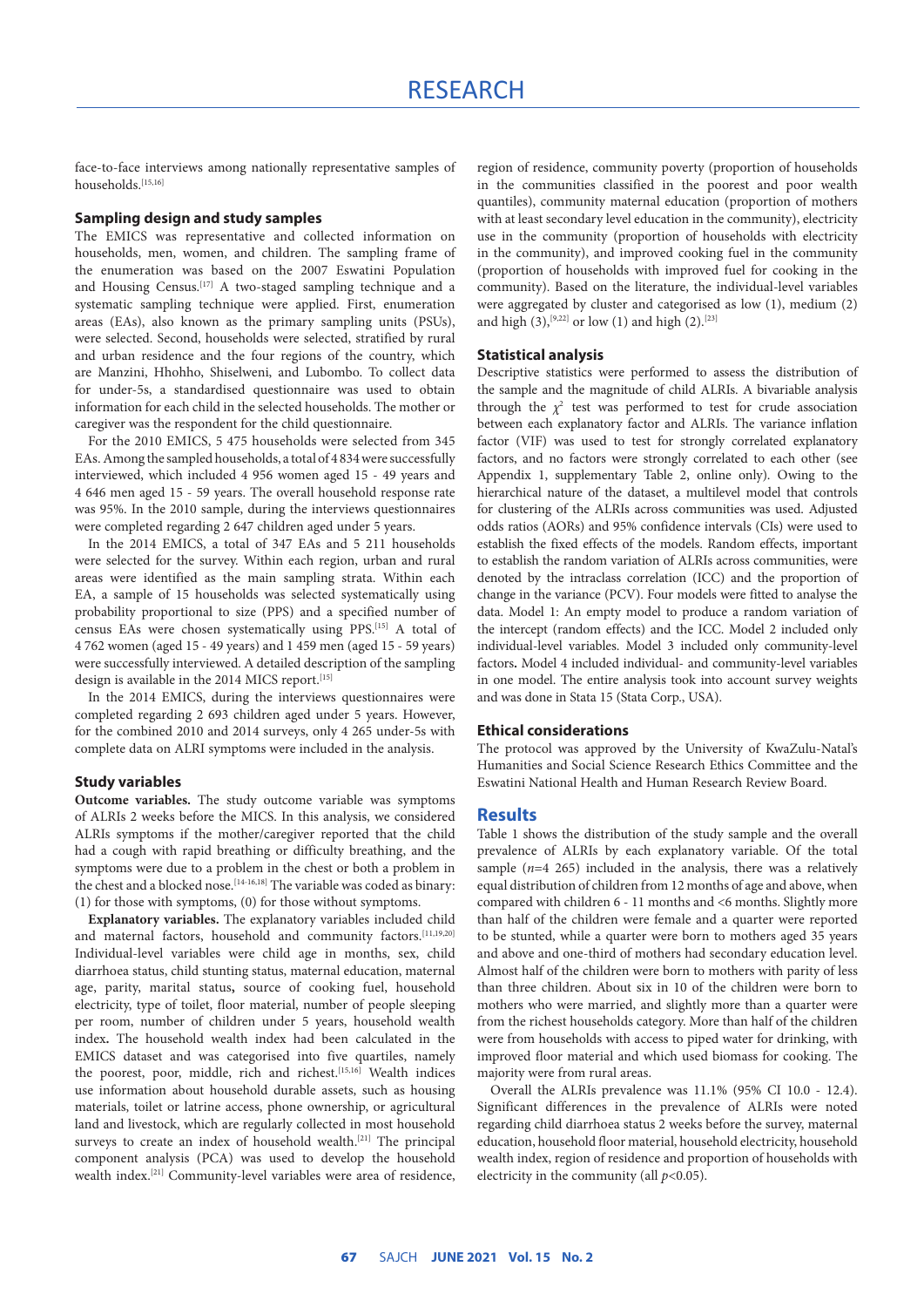face-to-face interviews among nationally representative samples of households.[15,16]

#### **Sampling design and study samples**

The EMICS was representative and collected information on households, men, women, and children. The sampling frame of the enumeration was based on the 2007 Eswatini Population and Housing Census.[17] A two-staged sampling technique and a systematic sampling technique were applied. First, enumeration areas (EAs), also known as the primary sampling units (PSUs), were selected. Second, households were selected, stratified by rural and urban residence and the four regions of the country, which are Manzini, Hhohho, Shiselweni, and Lubombo. To collect data for under-5s, a standardised questionnaire was used to obtain information for each child in the selected households. The mother or caregiver was the respondent for the child questionnaire.

For the 2010 EMICS, 5 475 households were selected from 345 EAs. Among the sampled households, a total of 4 834 were successfully interviewed, which included 4 956 women aged 15 - 49 years and 4 646 men aged 15 - 59 years. The overall household response rate was 95%. In the 2010 sample, during the interviews questionnaires were completed regarding 2 647 children aged under 5 years.

In the 2014 EMICS, a total of 347 EAs and 5 211 households were selected for the survey. Within each region, urban and rural areas were identified as the main sampling strata. Within each EA, a sample of 15 households was selected systematically using probability proportional to size (PPS) and a specified number of census EAs were chosen systematically using PPS.[15] A total of 4 762 women (aged 15 - 49 years) and 1 459 men (aged 15 - 59 years) were successfully interviewed. A detailed description of the sampling design is available in the 2014 MICS report.<sup>[15]</sup>

In the 2014 EMICS, during the interviews questionnaires were completed regarding 2 693 children aged under 5 years. However, for the combined 2010 and 2014 surveys, only 4 265 under-5s with complete data on ALRI symptoms were included in the analysis.

## **Study variables**

**Outcome variables.** The study outcome variable was symptoms of ALRIs 2 weeks before the MICS. In this analysis, we considered ALRIs symptoms if the mother/caregiver reported that the child had a cough with rapid breathing or difficulty breathing, and the symptoms were due to a problem in the chest or both a problem in the chest and a blocked nose.<sup>[14-16,18]</sup> The variable was coded as binary: (1) for those with symptoms, (0) for those without symptoms.

**Explanatory variables.** The explanatory variables included child and maternal factors, household and community factors.[11,19,20] Individual-level variables were child age in months, sex, child diarrhoea status, child stunting status, maternal education, maternal age, parity, marital status**,** source of cooking fuel, household electricity, type of toilet, floor material, number of people sleeping per room, number of children under 5 years, household wealth index**.** The household wealth index had been calculated in the EMICS dataset and was categorised into five quartiles, namely the poorest, poor, middle, rich and richest.<sup>[15,16]</sup> Wealth indices use information about household durable assets, such as housing materials, toilet or latrine access, phone ownership, or agricultural land and livestock, which are regularly collected in most household surveys to create an index of household wealth.<sup>[21]</sup> The principal component analysis (PCA) was used to develop the household wealth index.[21] Community-level variables were area of residence, region of residence, community poverty (proportion of households in the communities classified in the poorest and poor wealth quantiles), community maternal education (proportion of mothers with at least secondary level education in the community), electricity use in the community (proportion of households with electricity in the community), and improved cooking fuel in the community (proportion of households with improved fuel for cooking in the community). Based on the literature, the individual-level variables were aggregated by cluster and categorised as low (1), medium (2) and high (3),<sup>[9,22]</sup> or low (1) and high (2).<sup>[23]</sup>

#### **Statistical analysis**

Descriptive statistics were performed to assess the distribution of the sample and the magnitude of child ALRIs. A bivariable analysis through the  $\chi^2$  test was performed to test for crude association between each explanatory factor and ALRIs. The variance inflation factor (VIF) was used to test for strongly correlated explanatory factors, and no factors were strongly correlated to each other (see Appendix 1, supplementary Table 2, online only). Owing to the hierarchical nature of the dataset, a multilevel model that controls for clustering of the ALRIs across communities was used. Adjusted odds ratios (AORs) and 95% confidence intervals (CIs) were used to establish the fixed effects of the models. Random effects, important to establish the random variation of ALRIs across communities, were denoted by the intraclass correlation (ICC) and the proportion of change in the variance (PCV). Four models were fitted to analyse the data. Model 1: An empty model to produce a random variation of the intercept (random effects) and the ICC. Model 2 included only individual-level variables. Model 3 included only community-level factors**.** Model 4 included individual- and community-level variables in one model. The entire analysis took into account survey weights and was done in Stata 15 (Stata Corp., USA).

#### **Ethical considerations**

The protocol was approved by the University of KwaZulu-Natal's Humanities and Social Science Research Ethics Committee and the Eswatini National Health and Human Research Review Board.

## **Results**

Table 1 shows the distribution of the study sample and the overall prevalence of ALRIs by each explanatory variable. Of the total sample  $(n=4, 265)$  included in the analysis, there was a relatively equal distribution of children from 12 months of age and above, when compared with children 6 - 11 months and <6 months. Slightly more than half of the children were female and a quarter were reported to be stunted, while a quarter were born to mothers aged 35 years and above and one-third of mothers had secondary education level. Almost half of the children were born to mothers with parity of less than three children. About six in 10 of the children were born to mothers who were married, and slightly more than a quarter were from the richest households category. More than half of the children were from households with access to piped water for drinking, with improved floor material and which used biomass for cooking. The majority were from rural areas.

Overall the ALRIs prevalence was 11.1% (95% CI 10.0 - 12.4). Significant differences in the prevalence of ALRIs were noted regarding child diarrhoea status 2 weeks before the survey, maternal education, household floor material, household electricity, household wealth index, region of residence and proportion of households with electricity in the community (all  $p<0.05$ ).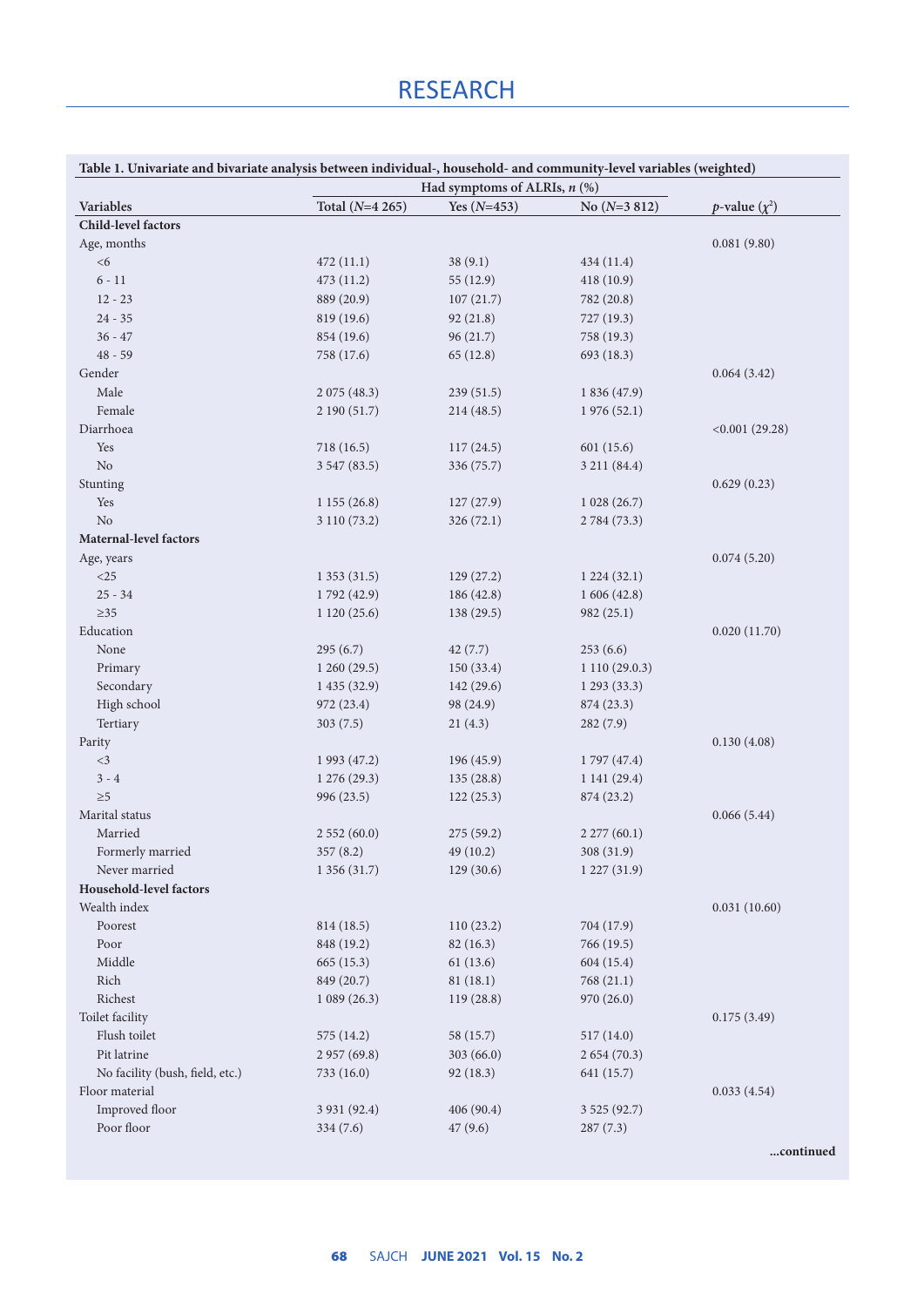| Table 1. Univariate and bivariate analysis between individual-, household- and community-level variables (weighted) |                 | Had symptoms of ALRIs, $n$ (%) |                |                            |
|---------------------------------------------------------------------------------------------------------------------|-----------------|--------------------------------|----------------|----------------------------|
| Variables                                                                                                           | Total (N=4 265) | Yes $(N=453)$                  | No $(N=3 812)$ | <i>p</i> -value $(\chi^2)$ |
| <b>Child-level factors</b>                                                                                          |                 |                                |                |                            |
| Age, months                                                                                                         |                 |                                |                | 0.081(9.80)                |
| <6                                                                                                                  | 472(11.1)       | 38(9.1)                        | 434(11.4)      |                            |
| $6 - 11$                                                                                                            | 473 (11.2)      | 55 (12.9)                      | 418(10.9)      |                            |
| $12 - 23$                                                                                                           | 889 (20.9)      | 107(21.7)                      | 782 (20.8)     |                            |
| $24 - 35$                                                                                                           | 819 (19.6)      | 92(21.8)                       | 727 (19.3)     |                            |
| $36 - 47$                                                                                                           | 854 (19.6)      | 96(21.7)                       | 758 (19.3)     |                            |
| $48 - 59$                                                                                                           | 758 (17.6)      | 65(12.8)                       | 693 (18.3)     |                            |
| Gender                                                                                                              |                 |                                |                | 0.064(3.42)                |
| Male                                                                                                                | 2075(48.3)      | 239(51.5)                      | 1 836 (47.9)   |                            |
| Female                                                                                                              | 2 190 (51.7)    | 214 (48.5)                     | 1976(52.1)     |                            |
| Diarrhoea                                                                                                           |                 |                                |                | < 0.001(29.28)             |
| Yes                                                                                                                 | 718 (16.5)      | 117(24.5)                      | 601(15.6)      |                            |
| $\rm No$                                                                                                            | 3 547 (83.5)    | 336 (75.7)                     | 3 211 (84.4)   |                            |
| Stunting                                                                                                            |                 |                                |                | 0.629(0.23)                |
| Yes                                                                                                                 | 1155(26.8)      | 127(27.9)                      | 1028(26.7)     |                            |
| N <sub>o</sub>                                                                                                      | 3 110 (73.2)    | 326(72.1)                      | 2 784 (73.3)   |                            |
| Maternal-level factors                                                                                              |                 |                                |                |                            |
| Age, years                                                                                                          |                 |                                |                | 0.074(5.20)                |
| $<$ 25                                                                                                              | 1353(31.5)      | 129(27.2)                      | 1224(32.1)     |                            |
| $25 - 34$                                                                                                           | 1792 (42.9)     | 186 (42.8)                     | 1606(42.8)     |                            |
| $\geq$ 35                                                                                                           | 1120(25.6)      | 138(29.5)                      | 982(25.1)      |                            |
| Education                                                                                                           |                 |                                |                | 0.020(11.70)               |
| None                                                                                                                | 295(6.7)        | 42(7.7)                        | 253(6.6)       |                            |
| Primary                                                                                                             | 1260(29.5)      | 150 (33.4)                     | 1110(29.0.3)   |                            |
| Secondary                                                                                                           | 1435(32.9)      | 142(29.6)                      | 1293(33.3)     |                            |
| High school                                                                                                         | 972 (23.4)      | 98 (24.9)                      | 874 (23.3)     |                            |
| Tertiary                                                                                                            | 303(7.5)        | 21(4.3)                        | 282(7.9)       |                            |
| Parity                                                                                                              |                 |                                |                | 0.130(4.08)                |
| $<$ 3                                                                                                               | 1 993 (47.2)    | 196 (45.9)                     | 1797 (47.4)    |                            |
| $3 - 4$                                                                                                             | 1276(29.3)      | 135(28.8)                      | 1141(29.4)     |                            |
| $\geq 5$                                                                                                            | 996 (23.5)      | 122(25.3)                      | 874 (23.2)     |                            |
| Marital status                                                                                                      |                 |                                |                | 0.066(5.44)                |
| Married                                                                                                             | 2552(60.0)      | 275(59.2)                      | 2277(60.1)     |                            |
| Formerly married                                                                                                    | 357(8.2)        | 49 (10.2)                      | 308 (31.9)     |                            |
| Never married                                                                                                       | 1 356 (31.7)    | 129 (30.6)                     | 1227(31.9)     |                            |
| Household-level factors                                                                                             |                 |                                |                |                            |
| Wealth index                                                                                                        |                 |                                |                | 0.031(10.60)               |
| Poorest                                                                                                             | 814 (18.5)      | 110(23.2)                      | 704 (17.9)     |                            |
| Poor                                                                                                                | 848 (19.2)      | 82(16.3)                       | 766 (19.5)     |                            |
| Middle                                                                                                              | 665 (15.3)      | 61(13.6)                       | 604 (15.4)     |                            |
| Rich                                                                                                                | 849 (20.7)      | 81(18.1)                       | 768 (21.1)     |                            |
| Richest                                                                                                             | 1089(26.3)      | 119(28.8)                      | 970 (26.0)     |                            |
| Toilet facility                                                                                                     |                 |                                |                | 0.175(3.49)                |
| Flush toilet                                                                                                        | 575 (14.2)      | 58 (15.7)                      | 517 (14.0)     |                            |
| Pit latrine                                                                                                         | 2957(69.8)      | 303(66.0)                      | 2 654 (70.3)   |                            |
| No facility (bush, field, etc.)                                                                                     | 733 (16.0)      | 92(18.3)                       | 641 (15.7)     |                            |
| Floor material                                                                                                      |                 |                                |                | 0.033(4.54)                |
| Improved floor                                                                                                      | 3 931 (92.4)    | 406 (90.4)                     | 3 5 25 (92.7)  |                            |
|                                                                                                                     |                 |                                |                |                            |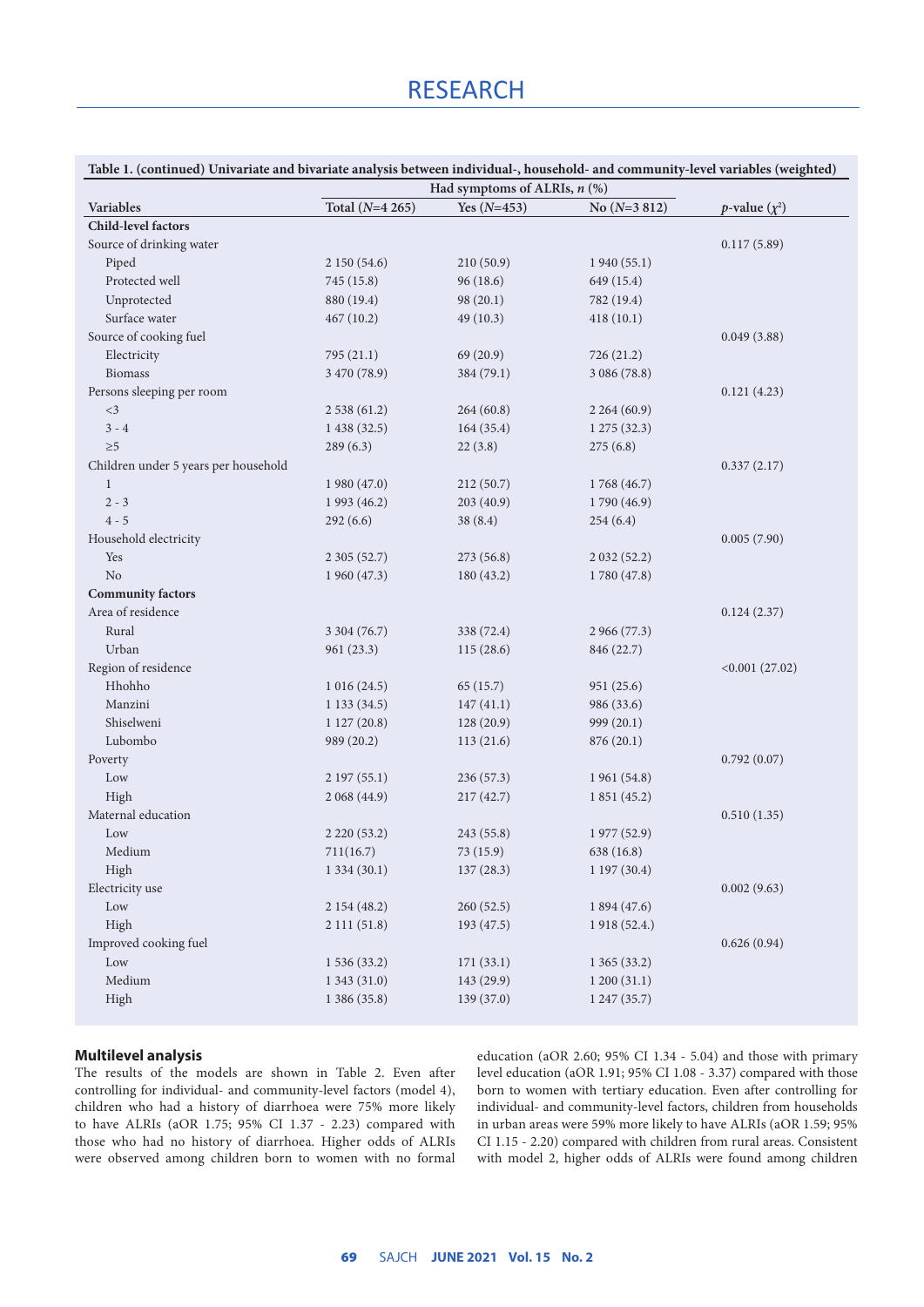| Table 1. (continued) Univariate and bivariate analysis between individual-, household- and community-level variables (weighted) |  |
|---------------------------------------------------------------------------------------------------------------------------------|--|
|                                                                                                                                 |  |

|                                      | Had symptoms of ALRIs, $n$ (%) |               |                |                            |
|--------------------------------------|--------------------------------|---------------|----------------|----------------------------|
| Variables                            | Total (N=4 265)                | Yes $(N=453)$ | No $(N=3 812)$ | <i>p</i> -value $(\chi^2)$ |
| <b>Child-level factors</b>           |                                |               |                |                            |
| Source of drinking water             |                                |               |                | 0.117(5.89)                |
| Piped                                | 2 150 (54.6)                   | 210(50.9)     | 1940(55.1)     |                            |
| Protected well                       | 745 (15.8)                     | 96(18.6)      | 649 (15.4)     |                            |
| Unprotected                          | 880 (19.4)                     | 98 (20.1)     | 782 (19.4)     |                            |
| Surface water                        | 467(10.2)                      | 49 (10.3)     | 418(10.1)      |                            |
| Source of cooking fuel               |                                |               |                | 0.049(3.88)                |
| Electricity                          | 795 (21.1)                     | 69(20.9)      | 726(21.2)      |                            |
| <b>Biomass</b>                       | 3 470 (78.9)                   | 384 (79.1)    | 3 086 (78.8)   |                            |
| Persons sleeping per room            |                                |               |                | 0.121(4.23)                |
| $<$ 3                                | 2 538 (61.2)                   | 264(60.8)     | 2264(60.9)     |                            |
| $3 - 4$                              | 1 438 (32.5)                   | 164(35.4)     | 1275(32.3)     |                            |
| $\geq 5$                             | 289(6.3)                       | 22(3.8)       | 275(6.8)       |                            |
| Children under 5 years per household |                                |               |                | 0.337(2.17)                |
| $\mathbf{1}$                         | 1980(47.0)                     | 212(50.7)     | 1768 (46.7)    |                            |
| $2 - 3$                              | 1 9 93 (46.2)                  | 203 (40.9)    | 1790 (46.9)    |                            |
| $4 - 5$                              | 292(6.6)                       | 38(8.4)       | 254(6.4)       |                            |
| Household electricity                |                                |               |                | 0.005(7.90)                |
| Yes                                  | 2 3 0 5 (5 2.7)                | 273 (56.8)    | 2032(52.2)     |                            |
| No                                   | 1960(47.3)                     | 180 (43.2)    | 1780 (47.8)    |                            |
| <b>Community factors</b>             |                                |               |                |                            |
| Area of residence                    |                                |               |                | 0.124(2.37)                |
| Rural                                | 3 304 (76.7)                   | 338 (72.4)    | 2 966 (77.3)   |                            |
| Urban                                | 961(23.3)                      | 115(28.6)     | 846 (22.7)     |                            |
| Region of residence                  |                                |               |                | < 0.001(27.02)             |
| Hhohho                               | 1016(24.5)                     | 65(15.7)      | 951(25.6)      |                            |
| Manzini                              | 1133(34.5)                     | 147(41.1)     | 986 (33.6)     |                            |
| Shiselweni                           |                                |               |                |                            |
| Lubombo                              | 1127(20.8)                     | 128(20.9)     | 999(20.1)      |                            |
|                                      | 989 (20.2)                     | 113(21.6)     | 876 (20.1)     |                            |
| Poverty                              |                                |               |                | 0.792(0.07)                |
| Low                                  | 2197(55.1)                     | 236 (57.3)    | 1 961 (54.8)   |                            |
| High                                 | 2 068 (44.9)                   | 217(42.7)     | 1 851 (45.2)   |                            |
| Maternal education                   |                                |               |                | 0.510(1.35)                |
| Low                                  | 2 2 2 0 (5 3 . 2)              | 243 (55.8)    | 1 977 (52.9)   |                            |
| Medium                               | 711(16.7)                      | 73(15.9)      | 638 (16.8)     |                            |
| High                                 | 1334(30.1)                     | 137(28.3)     | 1197(30.4)     |                            |
| Electricity use                      |                                |               |                | 0.002(9.63)                |
| Low                                  | 2 154 (48.2)                   | 260 (52.5)    | 1 894 (47.6)   |                            |
| High                                 | 2 111 (51.8)                   | 193 (47.5)    | 1918 (52.4.)   |                            |
| Improved cooking fuel                |                                |               |                | 0.626(0.94)                |
| Low                                  | 1 536 (33.2)                   | 171 (33.1)    | 1 365 (33.2)   |                            |
| Medium                               | 1 343 (31.0)                   | 143 (29.9)    | 1200(31.1)     |                            |
| High                                 | 1 386 (35.8)                   | 139 (37.0)    | 1247(35.7)     |                            |
|                                      |                                |               |                |                            |

## **Multilevel analysis**

The results of the models are shown in Table 2. Even after controlling for individual- and community-level factors (model 4), children who had a history of diarrhoea were 75% more likely to have ALRIs (aOR 1.75; 95% CI 1.37 - 2.23) compared with those who had no history of diarrhoea. Higher odds of ALRIs were observed among children born to women with no formal education (aOR 2.60; 95% CI 1.34 - 5.04) and those with primary level education (aOR 1.91; 95% CI 1.08 - 3.37) compared with those born to women with tertiary education. Even after controlling for individual- and community-level factors, children from households in urban areas were 59% more likely to have ALRIs (aOR 1.59; 95% CI 1.15 - 2.20) compared with children from rural areas. Consistent with model 2, higher odds of ALRIs were found among children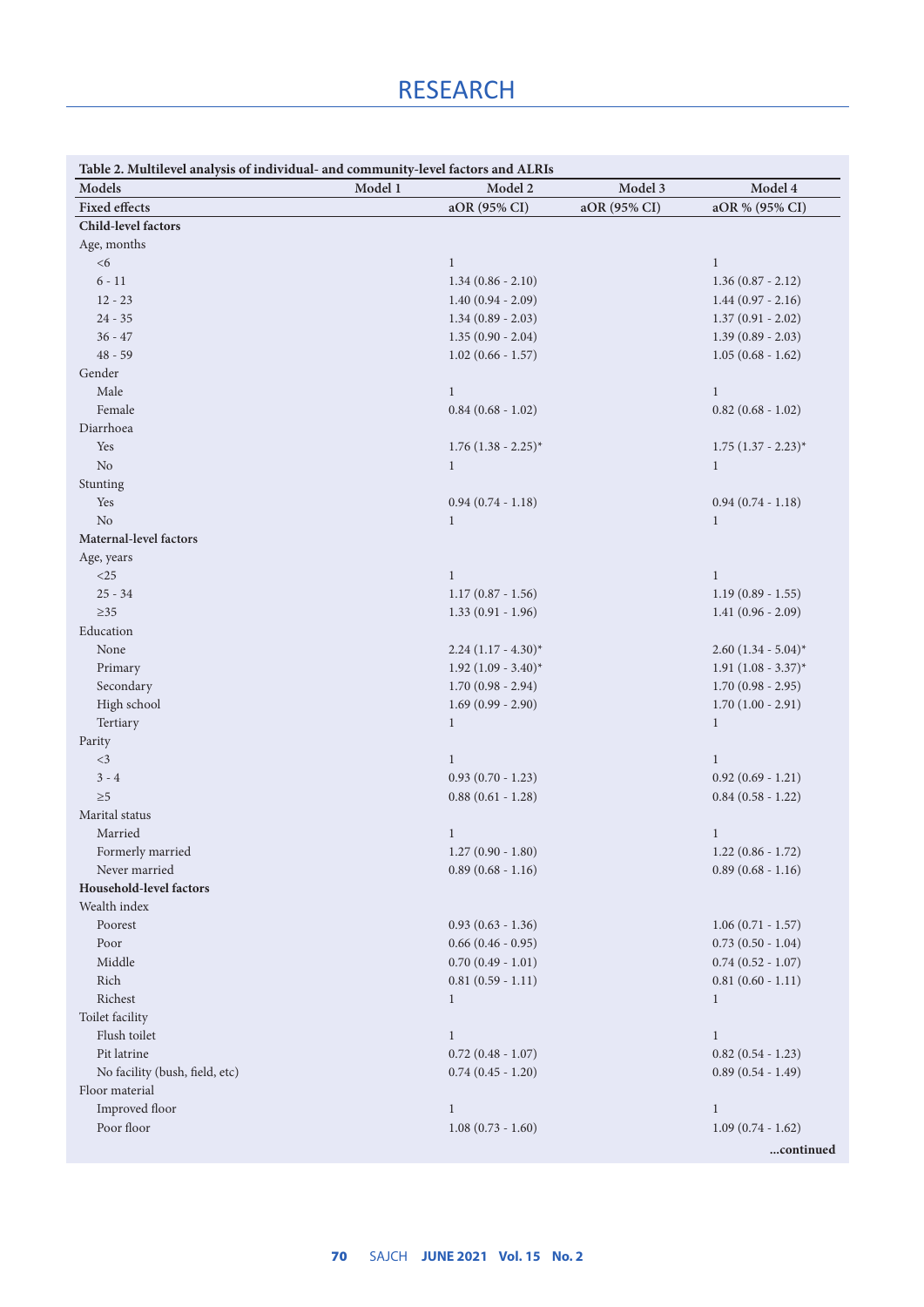| Table 2. Multilevel analysis of individual- and community-level factors and ALRIs |         |                            |              |                            |
|-----------------------------------------------------------------------------------|---------|----------------------------|--------------|----------------------------|
| Models                                                                            | Model 1 | Model 2                    | Model 3      | Model 4                    |
| <b>Fixed effects</b>                                                              |         | aOR (95% CI)               | aOR (95% CI) | aOR % (95% CI)             |
| Child-level factors                                                               |         |                            |              |                            |
| Age, months                                                                       |         |                            |              |                            |
| $<\!6$                                                                            |         | $\mathbf{1}$               |              | $\mathbf{1}$               |
| $6 - 11$                                                                          |         | $1.34(0.86 - 2.10)$        |              | $1.36(0.87 - 2.12)$        |
| $12 - 23$                                                                         |         | $1.40(0.94 - 2.09)$        |              | $1.44(0.97 - 2.16)$        |
| $24 - 35$                                                                         |         | $1.34(0.89 - 2.03)$        |              | $1.37(0.91 - 2.02)$        |
| $36 - 47$                                                                         |         | $1.35(0.90 - 2.04)$        |              | $1.39(0.89 - 2.03)$        |
| $48 - 59$                                                                         |         | $1.02(0.66 - 1.57)$        |              | $1.05(0.68 - 1.62)$        |
| Gender                                                                            |         |                            |              |                            |
| Male                                                                              |         | $\mathbf{1}$               |              | $\mathbf{1}$               |
| Female                                                                            |         | $0.84$ (0.68 - 1.02)       |              | $0.82$ (0.68 - 1.02)       |
| Diarrhoea                                                                         |         |                            |              |                            |
| Yes                                                                               |         | $1.76$ $(1.38 - 2.25)^{*}$ |              | $1.75$ $(1.37 - 2.23)^{*}$ |
| $\rm No$                                                                          |         | $\mathbf{1}$               |              | $\mathbf{1}$               |
| Stunting                                                                          |         |                            |              |                            |
| Yes                                                                               |         | $0.94(0.74 - 1.18)$        |              | $0.94(0.74 - 1.18)$        |
| No                                                                                |         | $\mathbf{1}$               |              | $\mathbf{1}$               |
| Maternal-level factors                                                            |         |                            |              |                            |
| Age, years                                                                        |         |                            |              |                            |
| $<$ 25                                                                            |         | $\mathbf{1}$               |              | $\mathbf{1}$               |
| $25 - 34$                                                                         |         | $1.17(0.87 - 1.56)$        |              | $1.19(0.89 - 1.55)$        |
| $\geq$ 35                                                                         |         | $1.33(0.91 - 1.96)$        |              | $1.41(0.96 - 2.09)$        |
| Education                                                                         |         |                            |              |                            |
| None                                                                              |         | $2.24(1.17 - 4.30)^{*}$    |              | $2.60(1.34 - 5.04)^{*}$    |
| Primary                                                                           |         | $1.92$ $(1.09 - 3.40)^{*}$ |              | $1.91 (1.08 - 3.37)^*$     |
| Secondary                                                                         |         | $1.70(0.98 - 2.94)$        |              | $1.70(0.98 - 2.95)$        |
| High school                                                                       |         | $1.69(0.99 - 2.90)$        |              | $1.70(1.00 - 2.91)$        |
| Tertiary                                                                          |         | $\mathbf{1}$               |              | $\mathbf{1}$               |
| Parity                                                                            |         |                            |              |                            |
| $<$ 3                                                                             |         | $\mathbf{1}$               |              | $\mathbf{1}$               |
| $3 - 4$                                                                           |         | $0.93(0.70 - 1.23)$        |              | $0.92(0.69 - 1.21)$        |
| $\geq 5$                                                                          |         | $0.88(0.61 - 1.28)$        |              | $0.84$ $(0.58 - 1.22)$     |
| Marital status                                                                    |         |                            |              |                            |
| Married                                                                           |         | $\mathbf{1}$               |              | $\mathbf{1}$               |
| Formerly married                                                                  |         | $1.27(0.90 - 1.80)$        |              | $1.22(0.86 - 1.72)$        |
| Never married                                                                     |         | $0.89(0.68 - 1.16)$        |              | $0.89(0.68 - 1.16)$        |
| Household-level factors                                                           |         |                            |              |                            |
| Wealth index                                                                      |         |                            |              |                            |
| Poorest                                                                           |         | $0.93(0.63 - 1.36)$        |              | $1.06(0.71 - 1.57)$        |
| Poor                                                                              |         | $0.66(0.46 - 0.95)$        |              | $0.73(0.50 - 1.04)$        |
| Middle                                                                            |         | $0.70(0.49 - 1.01)$        |              | $0.74$ $(0.52 - 1.07)$     |
| Rich                                                                              |         | $0.81(0.59 - 1.11)$        |              | $0.81(0.60 - 1.11)$        |
| Richest                                                                           |         | $\mathbf{1}$               |              | $\mathbf{1}$               |
| Toilet facility                                                                   |         |                            |              |                            |
| Flush toilet                                                                      |         | $\mathbf{1}$               |              | $\mathbf{1}$               |
| Pit latrine                                                                       |         | $0.72$ $(0.48 - 1.07)$     |              | $0.82$ $(0.54 - 1.23)$     |
| No facility (bush, field, etc)                                                    |         | $0.74$ $(0.45 - 1.20)$     |              | $0.89$ $(0.54 - 1.49)$     |
| Floor material                                                                    |         |                            |              |                            |
| Improved floor                                                                    |         | $1\,$                      |              | $\mathbf{1}$               |
| Poor floor                                                                        |         | $1.08(0.73 - 1.60)$        |              | $1.09(0.74 - 1.62)$        |
|                                                                                   |         |                            |              | continued                  |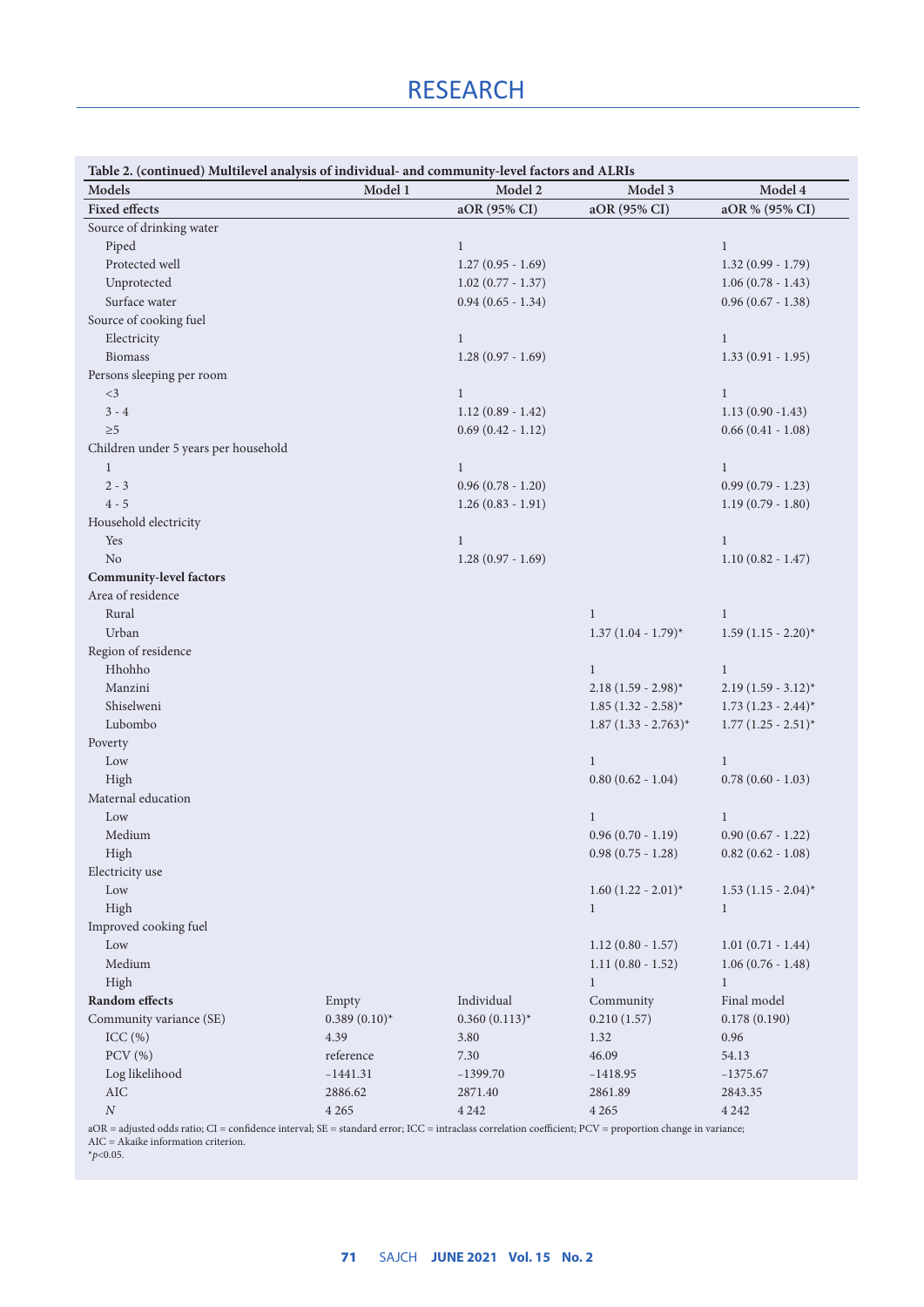## RESEARCH

| Model 1<br>Model 2<br>Model 3<br>Model 4<br>Models<br><b>Fixed effects</b><br>aOR (95% CI)<br>aOR (95% CI)<br>aOR % (95% CI)<br>Source of drinking water<br>Piped<br>$\mathbf{1}$<br>$\mathbf{1}$<br>Protected well<br>$1.27(0.95 - 1.69)$<br>$1.32(0.99 - 1.79)$<br>Unprotected<br>$1.02$ (0.77 - 1.37)<br>$1.06(0.78 - 1.43)$<br>Surface water<br>$0.94(0.65 - 1.34)$<br>$0.96(0.67 - 1.38)$<br>Source of cooking fuel<br>Electricity<br>$\mathbf{1}$<br>$\mathbf{1}$<br><b>Biomass</b><br>$1.28(0.97 - 1.69)$<br>$1.33(0.91 - 1.95)$<br>Persons sleeping per room<br>$<$ 3<br>$\mathbf{1}$<br>$\mathbf{1}$<br>$3 - 4$<br>$1.12(0.89 - 1.42)$<br>$1.13(0.90 - 1.43)$<br>$0.69(0.42 - 1.12)$<br>$0.66(0.41 - 1.08)$<br>$\geq 5$<br>Children under 5 years per household<br>$\mathbf{1}$<br>$\mathbf{1}$<br>$\mathbf{1}$<br>$2 - 3$<br>$0.99(0.79 - 1.23)$<br>$0.96(0.78 - 1.20)$<br>$4 - 5$<br>$1.26(0.83 - 1.91)$<br>$1.19(0.79 - 1.80)$<br>Household electricity<br>Yes<br>$\mathbf{1}$<br>$\mathbf{1}$<br>N <sub>o</sub><br>$1.28(0.97 - 1.69)$<br>$1.10(0.82 - 1.47)$<br><b>Community-level factors</b><br>Area of residence<br>Rural<br>$\mathbf{1}$<br>$\mathbf{1}$<br>Urban<br>$1.37 (1.04 - 1.79)^*$<br>$1.59(1.15 - 2.20)^{*}$<br>Region of residence<br>Hhohho<br>$\mathbf{1}$<br>$\mathbf{1}$<br>$2.18(1.59 - 2.98)^{*}$<br>$2.19(1.59 - 3.12)^{*}$<br>Manzini<br>Shiselweni<br>$1.85 (1.32 - 2.58)^*$<br>$1.73$ $(1.23 - 2.44)^*$<br>Lubombo<br>$1.87$ (1.33 - 2.763)*<br>$1.77(1.25 - 2.51)^{*}$<br>Poverty<br>Low<br>$\mathbf{1}$<br>$\mathbf{1}$<br>$0.78(0.60 - 1.03)$<br>High<br>$0.80$ $(0.62 - 1.04)$<br>Maternal education<br>$\mathbf{1}$<br>Low<br>$\mathbf{1}$<br>$0.96(0.70 - 1.19)$<br>Medium<br>$0.90(0.67 - 1.22)$<br>High<br>$0.98$ $(0.75 - 1.28)$<br>$0.82$ (0.62 - 1.08)<br>Electricity use<br>$_{\text{Low}}$<br>$1.60 (1.22 - 2.01)^*$<br>$1.53$ $(1.15 - 2.04)^{*}$<br>High<br>$\mathbf{1}$<br>$\mathbf{1}$<br>Improved cooking fuel<br>Low<br>$1.12(0.80 - 1.57)$<br>$1.01(0.71 - 1.44)$<br>Medium<br>$1.11(0.80 - 1.52)$<br>$1.06(0.76 - 1.48)$<br>High<br>1<br>1<br>Random effects<br>Final model<br>Individual<br>Community<br>Empty<br>Community variance (SE)<br>$0.389(0.10)$ *<br>$0.360(0.113)^{*}$<br>0.210(1.57)<br>0.178(0.190)<br>ICC(%)<br>4.39<br>3.80<br>0.96<br>1.32<br>$PCV$ $(\% )$<br>reference<br>7.30<br>46.09<br>54.13<br>Log likelihood<br>$-1441.31$<br>$-1399.70$<br>$-1418.95$<br>$-1375.67$<br><b>AIC</b><br>2886.62<br>2871.40<br>2861.89<br>2843.35 | Table 2. (continued) Multilevel analysis of individual- and community-level factors and ALRIs |  |  |
|----------------------------------------------------------------------------------------------------------------------------------------------------------------------------------------------------------------------------------------------------------------------------------------------------------------------------------------------------------------------------------------------------------------------------------------------------------------------------------------------------------------------------------------------------------------------------------------------------------------------------------------------------------------------------------------------------------------------------------------------------------------------------------------------------------------------------------------------------------------------------------------------------------------------------------------------------------------------------------------------------------------------------------------------------------------------------------------------------------------------------------------------------------------------------------------------------------------------------------------------------------------------------------------------------------------------------------------------------------------------------------------------------------------------------------------------------------------------------------------------------------------------------------------------------------------------------------------------------------------------------------------------------------------------------------------------------------------------------------------------------------------------------------------------------------------------------------------------------------------------------------------------------------------------------------------------------------------------------------------------------------------------------------------------------------------------------------------------------------------------------------------------------------------------------------------------------------------------------------------------------------------------------------------------------------------------------------------------------------------------------------------------------------------------------------------------------------------------------------------------------------------------|-----------------------------------------------------------------------------------------------|--|--|
|                                                                                                                                                                                                                                                                                                                                                                                                                                                                                                                                                                                                                                                                                                                                                                                                                                                                                                                                                                                                                                                                                                                                                                                                                                                                                                                                                                                                                                                                                                                                                                                                                                                                                                                                                                                                                                                                                                                                                                                                                                                                                                                                                                                                                                                                                                                                                                                                                                                                                                                      |                                                                                               |  |  |
|                                                                                                                                                                                                                                                                                                                                                                                                                                                                                                                                                                                                                                                                                                                                                                                                                                                                                                                                                                                                                                                                                                                                                                                                                                                                                                                                                                                                                                                                                                                                                                                                                                                                                                                                                                                                                                                                                                                                                                                                                                                                                                                                                                                                                                                                                                                                                                                                                                                                                                                      |                                                                                               |  |  |
|                                                                                                                                                                                                                                                                                                                                                                                                                                                                                                                                                                                                                                                                                                                                                                                                                                                                                                                                                                                                                                                                                                                                                                                                                                                                                                                                                                                                                                                                                                                                                                                                                                                                                                                                                                                                                                                                                                                                                                                                                                                                                                                                                                                                                                                                                                                                                                                                                                                                                                                      |                                                                                               |  |  |
|                                                                                                                                                                                                                                                                                                                                                                                                                                                                                                                                                                                                                                                                                                                                                                                                                                                                                                                                                                                                                                                                                                                                                                                                                                                                                                                                                                                                                                                                                                                                                                                                                                                                                                                                                                                                                                                                                                                                                                                                                                                                                                                                                                                                                                                                                                                                                                                                                                                                                                                      |                                                                                               |  |  |
|                                                                                                                                                                                                                                                                                                                                                                                                                                                                                                                                                                                                                                                                                                                                                                                                                                                                                                                                                                                                                                                                                                                                                                                                                                                                                                                                                                                                                                                                                                                                                                                                                                                                                                                                                                                                                                                                                                                                                                                                                                                                                                                                                                                                                                                                                                                                                                                                                                                                                                                      |                                                                                               |  |  |
|                                                                                                                                                                                                                                                                                                                                                                                                                                                                                                                                                                                                                                                                                                                                                                                                                                                                                                                                                                                                                                                                                                                                                                                                                                                                                                                                                                                                                                                                                                                                                                                                                                                                                                                                                                                                                                                                                                                                                                                                                                                                                                                                                                                                                                                                                                                                                                                                                                                                                                                      |                                                                                               |  |  |
|                                                                                                                                                                                                                                                                                                                                                                                                                                                                                                                                                                                                                                                                                                                                                                                                                                                                                                                                                                                                                                                                                                                                                                                                                                                                                                                                                                                                                                                                                                                                                                                                                                                                                                                                                                                                                                                                                                                                                                                                                                                                                                                                                                                                                                                                                                                                                                                                                                                                                                                      |                                                                                               |  |  |
|                                                                                                                                                                                                                                                                                                                                                                                                                                                                                                                                                                                                                                                                                                                                                                                                                                                                                                                                                                                                                                                                                                                                                                                                                                                                                                                                                                                                                                                                                                                                                                                                                                                                                                                                                                                                                                                                                                                                                                                                                                                                                                                                                                                                                                                                                                                                                                                                                                                                                                                      |                                                                                               |  |  |
|                                                                                                                                                                                                                                                                                                                                                                                                                                                                                                                                                                                                                                                                                                                                                                                                                                                                                                                                                                                                                                                                                                                                                                                                                                                                                                                                                                                                                                                                                                                                                                                                                                                                                                                                                                                                                                                                                                                                                                                                                                                                                                                                                                                                                                                                                                                                                                                                                                                                                                                      |                                                                                               |  |  |
|                                                                                                                                                                                                                                                                                                                                                                                                                                                                                                                                                                                                                                                                                                                                                                                                                                                                                                                                                                                                                                                                                                                                                                                                                                                                                                                                                                                                                                                                                                                                                                                                                                                                                                                                                                                                                                                                                                                                                                                                                                                                                                                                                                                                                                                                                                                                                                                                                                                                                                                      |                                                                                               |  |  |
|                                                                                                                                                                                                                                                                                                                                                                                                                                                                                                                                                                                                                                                                                                                                                                                                                                                                                                                                                                                                                                                                                                                                                                                                                                                                                                                                                                                                                                                                                                                                                                                                                                                                                                                                                                                                                                                                                                                                                                                                                                                                                                                                                                                                                                                                                                                                                                                                                                                                                                                      |                                                                                               |  |  |
|                                                                                                                                                                                                                                                                                                                                                                                                                                                                                                                                                                                                                                                                                                                                                                                                                                                                                                                                                                                                                                                                                                                                                                                                                                                                                                                                                                                                                                                                                                                                                                                                                                                                                                                                                                                                                                                                                                                                                                                                                                                                                                                                                                                                                                                                                                                                                                                                                                                                                                                      |                                                                                               |  |  |
|                                                                                                                                                                                                                                                                                                                                                                                                                                                                                                                                                                                                                                                                                                                                                                                                                                                                                                                                                                                                                                                                                                                                                                                                                                                                                                                                                                                                                                                                                                                                                                                                                                                                                                                                                                                                                                                                                                                                                                                                                                                                                                                                                                                                                                                                                                                                                                                                                                                                                                                      |                                                                                               |  |  |
|                                                                                                                                                                                                                                                                                                                                                                                                                                                                                                                                                                                                                                                                                                                                                                                                                                                                                                                                                                                                                                                                                                                                                                                                                                                                                                                                                                                                                                                                                                                                                                                                                                                                                                                                                                                                                                                                                                                                                                                                                                                                                                                                                                                                                                                                                                                                                                                                                                                                                                                      |                                                                                               |  |  |
|                                                                                                                                                                                                                                                                                                                                                                                                                                                                                                                                                                                                                                                                                                                                                                                                                                                                                                                                                                                                                                                                                                                                                                                                                                                                                                                                                                                                                                                                                                                                                                                                                                                                                                                                                                                                                                                                                                                                                                                                                                                                                                                                                                                                                                                                                                                                                                                                                                                                                                                      |                                                                                               |  |  |
|                                                                                                                                                                                                                                                                                                                                                                                                                                                                                                                                                                                                                                                                                                                                                                                                                                                                                                                                                                                                                                                                                                                                                                                                                                                                                                                                                                                                                                                                                                                                                                                                                                                                                                                                                                                                                                                                                                                                                                                                                                                                                                                                                                                                                                                                                                                                                                                                                                                                                                                      |                                                                                               |  |  |
|                                                                                                                                                                                                                                                                                                                                                                                                                                                                                                                                                                                                                                                                                                                                                                                                                                                                                                                                                                                                                                                                                                                                                                                                                                                                                                                                                                                                                                                                                                                                                                                                                                                                                                                                                                                                                                                                                                                                                                                                                                                                                                                                                                                                                                                                                                                                                                                                                                                                                                                      |                                                                                               |  |  |
|                                                                                                                                                                                                                                                                                                                                                                                                                                                                                                                                                                                                                                                                                                                                                                                                                                                                                                                                                                                                                                                                                                                                                                                                                                                                                                                                                                                                                                                                                                                                                                                                                                                                                                                                                                                                                                                                                                                                                                                                                                                                                                                                                                                                                                                                                                                                                                                                                                                                                                                      |                                                                                               |  |  |
|                                                                                                                                                                                                                                                                                                                                                                                                                                                                                                                                                                                                                                                                                                                                                                                                                                                                                                                                                                                                                                                                                                                                                                                                                                                                                                                                                                                                                                                                                                                                                                                                                                                                                                                                                                                                                                                                                                                                                                                                                                                                                                                                                                                                                                                                                                                                                                                                                                                                                                                      |                                                                                               |  |  |
|                                                                                                                                                                                                                                                                                                                                                                                                                                                                                                                                                                                                                                                                                                                                                                                                                                                                                                                                                                                                                                                                                                                                                                                                                                                                                                                                                                                                                                                                                                                                                                                                                                                                                                                                                                                                                                                                                                                                                                                                                                                                                                                                                                                                                                                                                                                                                                                                                                                                                                                      |                                                                                               |  |  |
|                                                                                                                                                                                                                                                                                                                                                                                                                                                                                                                                                                                                                                                                                                                                                                                                                                                                                                                                                                                                                                                                                                                                                                                                                                                                                                                                                                                                                                                                                                                                                                                                                                                                                                                                                                                                                                                                                                                                                                                                                                                                                                                                                                                                                                                                                                                                                                                                                                                                                                                      |                                                                                               |  |  |
|                                                                                                                                                                                                                                                                                                                                                                                                                                                                                                                                                                                                                                                                                                                                                                                                                                                                                                                                                                                                                                                                                                                                                                                                                                                                                                                                                                                                                                                                                                                                                                                                                                                                                                                                                                                                                                                                                                                                                                                                                                                                                                                                                                                                                                                                                                                                                                                                                                                                                                                      |                                                                                               |  |  |
|                                                                                                                                                                                                                                                                                                                                                                                                                                                                                                                                                                                                                                                                                                                                                                                                                                                                                                                                                                                                                                                                                                                                                                                                                                                                                                                                                                                                                                                                                                                                                                                                                                                                                                                                                                                                                                                                                                                                                                                                                                                                                                                                                                                                                                                                                                                                                                                                                                                                                                                      |                                                                                               |  |  |
|                                                                                                                                                                                                                                                                                                                                                                                                                                                                                                                                                                                                                                                                                                                                                                                                                                                                                                                                                                                                                                                                                                                                                                                                                                                                                                                                                                                                                                                                                                                                                                                                                                                                                                                                                                                                                                                                                                                                                                                                                                                                                                                                                                                                                                                                                                                                                                                                                                                                                                                      |                                                                                               |  |  |
|                                                                                                                                                                                                                                                                                                                                                                                                                                                                                                                                                                                                                                                                                                                                                                                                                                                                                                                                                                                                                                                                                                                                                                                                                                                                                                                                                                                                                                                                                                                                                                                                                                                                                                                                                                                                                                                                                                                                                                                                                                                                                                                                                                                                                                                                                                                                                                                                                                                                                                                      |                                                                                               |  |  |
|                                                                                                                                                                                                                                                                                                                                                                                                                                                                                                                                                                                                                                                                                                                                                                                                                                                                                                                                                                                                                                                                                                                                                                                                                                                                                                                                                                                                                                                                                                                                                                                                                                                                                                                                                                                                                                                                                                                                                                                                                                                                                                                                                                                                                                                                                                                                                                                                                                                                                                                      |                                                                                               |  |  |
|                                                                                                                                                                                                                                                                                                                                                                                                                                                                                                                                                                                                                                                                                                                                                                                                                                                                                                                                                                                                                                                                                                                                                                                                                                                                                                                                                                                                                                                                                                                                                                                                                                                                                                                                                                                                                                                                                                                                                                                                                                                                                                                                                                                                                                                                                                                                                                                                                                                                                                                      |                                                                                               |  |  |
|                                                                                                                                                                                                                                                                                                                                                                                                                                                                                                                                                                                                                                                                                                                                                                                                                                                                                                                                                                                                                                                                                                                                                                                                                                                                                                                                                                                                                                                                                                                                                                                                                                                                                                                                                                                                                                                                                                                                                                                                                                                                                                                                                                                                                                                                                                                                                                                                                                                                                                                      |                                                                                               |  |  |
|                                                                                                                                                                                                                                                                                                                                                                                                                                                                                                                                                                                                                                                                                                                                                                                                                                                                                                                                                                                                                                                                                                                                                                                                                                                                                                                                                                                                                                                                                                                                                                                                                                                                                                                                                                                                                                                                                                                                                                                                                                                                                                                                                                                                                                                                                                                                                                                                                                                                                                                      |                                                                                               |  |  |
|                                                                                                                                                                                                                                                                                                                                                                                                                                                                                                                                                                                                                                                                                                                                                                                                                                                                                                                                                                                                                                                                                                                                                                                                                                                                                                                                                                                                                                                                                                                                                                                                                                                                                                                                                                                                                                                                                                                                                                                                                                                                                                                                                                                                                                                                                                                                                                                                                                                                                                                      |                                                                                               |  |  |
|                                                                                                                                                                                                                                                                                                                                                                                                                                                                                                                                                                                                                                                                                                                                                                                                                                                                                                                                                                                                                                                                                                                                                                                                                                                                                                                                                                                                                                                                                                                                                                                                                                                                                                                                                                                                                                                                                                                                                                                                                                                                                                                                                                                                                                                                                                                                                                                                                                                                                                                      |                                                                                               |  |  |
|                                                                                                                                                                                                                                                                                                                                                                                                                                                                                                                                                                                                                                                                                                                                                                                                                                                                                                                                                                                                                                                                                                                                                                                                                                                                                                                                                                                                                                                                                                                                                                                                                                                                                                                                                                                                                                                                                                                                                                                                                                                                                                                                                                                                                                                                                                                                                                                                                                                                                                                      |                                                                                               |  |  |
|                                                                                                                                                                                                                                                                                                                                                                                                                                                                                                                                                                                                                                                                                                                                                                                                                                                                                                                                                                                                                                                                                                                                                                                                                                                                                                                                                                                                                                                                                                                                                                                                                                                                                                                                                                                                                                                                                                                                                                                                                                                                                                                                                                                                                                                                                                                                                                                                                                                                                                                      |                                                                                               |  |  |
|                                                                                                                                                                                                                                                                                                                                                                                                                                                                                                                                                                                                                                                                                                                                                                                                                                                                                                                                                                                                                                                                                                                                                                                                                                                                                                                                                                                                                                                                                                                                                                                                                                                                                                                                                                                                                                                                                                                                                                                                                                                                                                                                                                                                                                                                                                                                                                                                                                                                                                                      |                                                                                               |  |  |
|                                                                                                                                                                                                                                                                                                                                                                                                                                                                                                                                                                                                                                                                                                                                                                                                                                                                                                                                                                                                                                                                                                                                                                                                                                                                                                                                                                                                                                                                                                                                                                                                                                                                                                                                                                                                                                                                                                                                                                                                                                                                                                                                                                                                                                                                                                                                                                                                                                                                                                                      |                                                                                               |  |  |
|                                                                                                                                                                                                                                                                                                                                                                                                                                                                                                                                                                                                                                                                                                                                                                                                                                                                                                                                                                                                                                                                                                                                                                                                                                                                                                                                                                                                                                                                                                                                                                                                                                                                                                                                                                                                                                                                                                                                                                                                                                                                                                                                                                                                                                                                                                                                                                                                                                                                                                                      |                                                                                               |  |  |
|                                                                                                                                                                                                                                                                                                                                                                                                                                                                                                                                                                                                                                                                                                                                                                                                                                                                                                                                                                                                                                                                                                                                                                                                                                                                                                                                                                                                                                                                                                                                                                                                                                                                                                                                                                                                                                                                                                                                                                                                                                                                                                                                                                                                                                                                                                                                                                                                                                                                                                                      |                                                                                               |  |  |
|                                                                                                                                                                                                                                                                                                                                                                                                                                                                                                                                                                                                                                                                                                                                                                                                                                                                                                                                                                                                                                                                                                                                                                                                                                                                                                                                                                                                                                                                                                                                                                                                                                                                                                                                                                                                                                                                                                                                                                                                                                                                                                                                                                                                                                                                                                                                                                                                                                                                                                                      |                                                                                               |  |  |
|                                                                                                                                                                                                                                                                                                                                                                                                                                                                                                                                                                                                                                                                                                                                                                                                                                                                                                                                                                                                                                                                                                                                                                                                                                                                                                                                                                                                                                                                                                                                                                                                                                                                                                                                                                                                                                                                                                                                                                                                                                                                                                                                                                                                                                                                                                                                                                                                                                                                                                                      |                                                                                               |  |  |
|                                                                                                                                                                                                                                                                                                                                                                                                                                                                                                                                                                                                                                                                                                                                                                                                                                                                                                                                                                                                                                                                                                                                                                                                                                                                                                                                                                                                                                                                                                                                                                                                                                                                                                                                                                                                                                                                                                                                                                                                                                                                                                                                                                                                                                                                                                                                                                                                                                                                                                                      |                                                                                               |  |  |
|                                                                                                                                                                                                                                                                                                                                                                                                                                                                                                                                                                                                                                                                                                                                                                                                                                                                                                                                                                                                                                                                                                                                                                                                                                                                                                                                                                                                                                                                                                                                                                                                                                                                                                                                                                                                                                                                                                                                                                                                                                                                                                                                                                                                                                                                                                                                                                                                                                                                                                                      |                                                                                               |  |  |
|                                                                                                                                                                                                                                                                                                                                                                                                                                                                                                                                                                                                                                                                                                                                                                                                                                                                                                                                                                                                                                                                                                                                                                                                                                                                                                                                                                                                                                                                                                                                                                                                                                                                                                                                                                                                                                                                                                                                                                                                                                                                                                                                                                                                                                                                                                                                                                                                                                                                                                                      |                                                                                               |  |  |
|                                                                                                                                                                                                                                                                                                                                                                                                                                                                                                                                                                                                                                                                                                                                                                                                                                                                                                                                                                                                                                                                                                                                                                                                                                                                                                                                                                                                                                                                                                                                                                                                                                                                                                                                                                                                                                                                                                                                                                                                                                                                                                                                                                                                                                                                                                                                                                                                                                                                                                                      |                                                                                               |  |  |
|                                                                                                                                                                                                                                                                                                                                                                                                                                                                                                                                                                                                                                                                                                                                                                                                                                                                                                                                                                                                                                                                                                                                                                                                                                                                                                                                                                                                                                                                                                                                                                                                                                                                                                                                                                                                                                                                                                                                                                                                                                                                                                                                                                                                                                                                                                                                                                                                                                                                                                                      |                                                                                               |  |  |
|                                                                                                                                                                                                                                                                                                                                                                                                                                                                                                                                                                                                                                                                                                                                                                                                                                                                                                                                                                                                                                                                                                                                                                                                                                                                                                                                                                                                                                                                                                                                                                                                                                                                                                                                                                                                                                                                                                                                                                                                                                                                                                                                                                                                                                                                                                                                                                                                                                                                                                                      |                                                                                               |  |  |
|                                                                                                                                                                                                                                                                                                                                                                                                                                                                                                                                                                                                                                                                                                                                                                                                                                                                                                                                                                                                                                                                                                                                                                                                                                                                                                                                                                                                                                                                                                                                                                                                                                                                                                                                                                                                                                                                                                                                                                                                                                                                                                                                                                                                                                                                                                                                                                                                                                                                                                                      |                                                                                               |  |  |
|                                                                                                                                                                                                                                                                                                                                                                                                                                                                                                                                                                                                                                                                                                                                                                                                                                                                                                                                                                                                                                                                                                                                                                                                                                                                                                                                                                                                                                                                                                                                                                                                                                                                                                                                                                                                                                                                                                                                                                                                                                                                                                                                                                                                                                                                                                                                                                                                                                                                                                                      |                                                                                               |  |  |
|                                                                                                                                                                                                                                                                                                                                                                                                                                                                                                                                                                                                                                                                                                                                                                                                                                                                                                                                                                                                                                                                                                                                                                                                                                                                                                                                                                                                                                                                                                                                                                                                                                                                                                                                                                                                                                                                                                                                                                                                                                                                                                                                                                                                                                                                                                                                                                                                                                                                                                                      |                                                                                               |  |  |
|                                                                                                                                                                                                                                                                                                                                                                                                                                                                                                                                                                                                                                                                                                                                                                                                                                                                                                                                                                                                                                                                                                                                                                                                                                                                                                                                                                                                                                                                                                                                                                                                                                                                                                                                                                                                                                                                                                                                                                                                                                                                                                                                                                                                                                                                                                                                                                                                                                                                                                                      |                                                                                               |  |  |
|                                                                                                                                                                                                                                                                                                                                                                                                                                                                                                                                                                                                                                                                                                                                                                                                                                                                                                                                                                                                                                                                                                                                                                                                                                                                                                                                                                                                                                                                                                                                                                                                                                                                                                                                                                                                                                                                                                                                                                                                                                                                                                                                                                                                                                                                                                                                                                                                                                                                                                                      |                                                                                               |  |  |
|                                                                                                                                                                                                                                                                                                                                                                                                                                                                                                                                                                                                                                                                                                                                                                                                                                                                                                                                                                                                                                                                                                                                                                                                                                                                                                                                                                                                                                                                                                                                                                                                                                                                                                                                                                                                                                                                                                                                                                                                                                                                                                                                                                                                                                                                                                                                                                                                                                                                                                                      |                                                                                               |  |  |
| $\cal N$<br>4 2 4 2<br>4 2 6 5<br>4 2 6 5<br>4 2 4 2                                                                                                                                                                                                                                                                                                                                                                                                                                                                                                                                                                                                                                                                                                                                                                                                                                                                                                                                                                                                                                                                                                                                                                                                                                                                                                                                                                                                                                                                                                                                                                                                                                                                                                                                                                                                                                                                                                                                                                                                                                                                                                                                                                                                                                                                                                                                                                                                                                                                 |                                                                                               |  |  |

aOR = adjusted odds ratio; CI = confidence interval; SE = standard error; ICC = intraclass correlation coefficient; PCV = proportion change in variance; AIC = Akaike information criterion.

\**p*<0.05.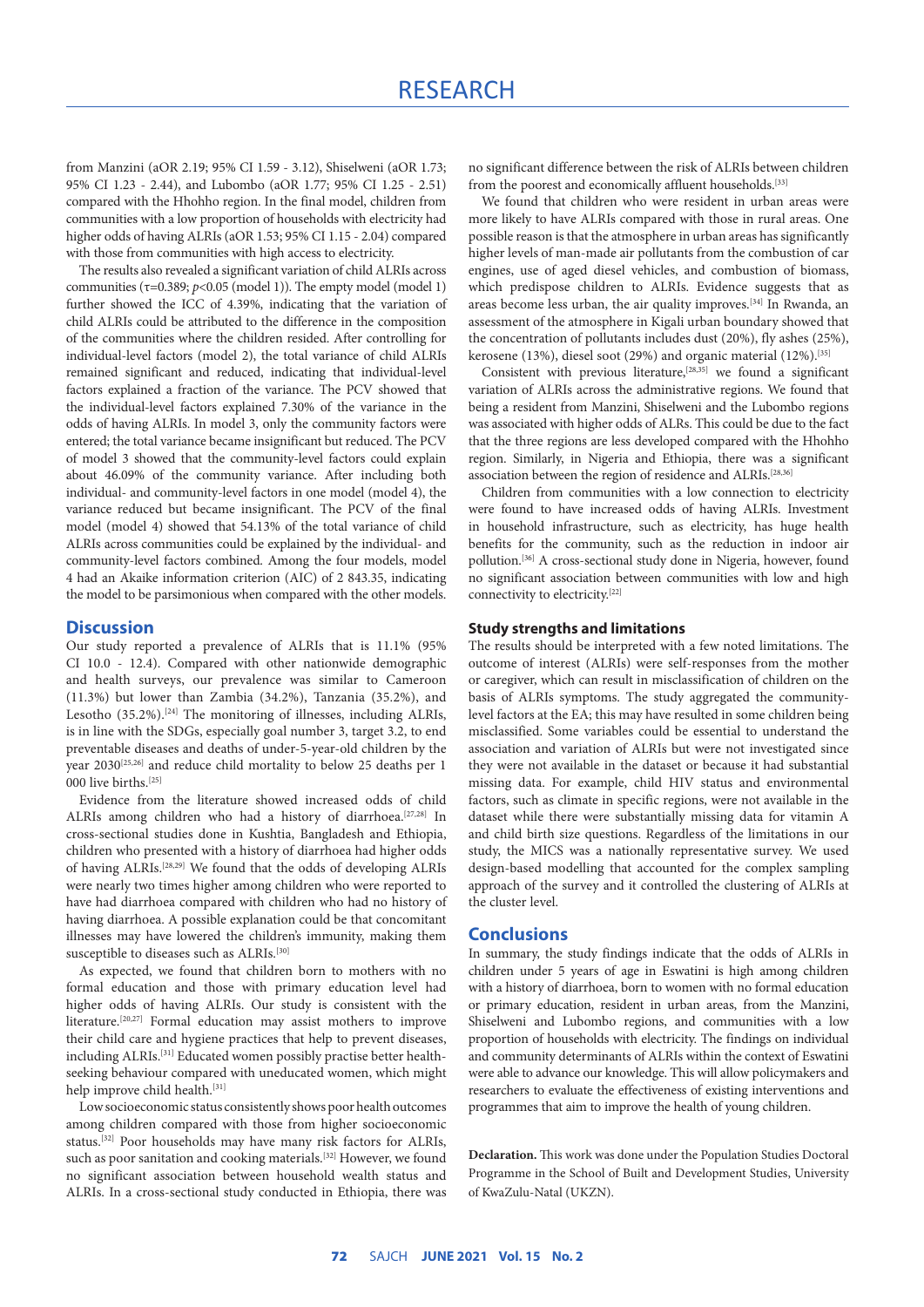from Manzini (aOR 2.19; 95% CI 1.59 - 3.12), Shiselweni (aOR 1.73; 95% CI 1.23 - 2.44), and Lubombo (aOR 1.77; 95% CI 1.25 - 2.51) compared with the Hhohho region. In the final model, children from communities with a low proportion of households with electricity had higher odds of having ALRIs (aOR 1.53; 95% CI 1.15 - 2.04) compared with those from communities with high access to electricity.

The results also revealed a significant variation of child ALRIs across communities (τ=0.389; *p*<0.05 (model 1)). The empty model (model 1) further showed the ICC of 4.39%, indicating that the variation of child ALRIs could be attributed to the difference in the composition of the communities where the children resided. After controlling for individual-level factors (model 2), the total variance of child ALRIs remained significant and reduced, indicating that individual-level factors explained a fraction of the variance. The PCV showed that the individual-level factors explained 7.30% of the variance in the odds of having ALRIs. In model 3, only the community factors were entered; the total variance became insignificant but reduced. The PCV of model 3 showed that the community-level factors could explain about 46.09% of the community variance. After including both individual- and community-level factors in one model (model 4), the variance reduced but became insignificant. The PCV of the final model (model 4) showed that 54.13% of the total variance of child ALRIs across communities could be explained by the individual- and community-level factors combined. Among the four models, model 4 had an Akaike information criterion (AIC) of 2 843.35, indicating the model to be parsimonious when compared with the other models.

#### **Discussion**

Our study reported a prevalence of ALRIs that is 11.1% (95% CI 10.0 - 12.4). Compared with other nationwide demographic and health surveys, our prevalence was similar to Cameroon (11.3%) but lower than Zambia (34.2%), Tanzania (35.2%), and Lesotho (35.2%).<sup>[24]</sup> The monitoring of illnesses, including ALRIs, is in line with the SDGs, especially goal number 3, target 3.2, to end preventable diseases and deaths of under-5-year-old children by the year 2030[25,26] and reduce child mortality to below 25 deaths per 1  $000$  live births.<sup>[25]</sup>

Evidence from the literature showed increased odds of child ALRIs among children who had a history of diarrhoea.[27,28] In cross-sectional studies done in Kushtia, Bangladesh and Ethiopia, children who presented with a history of diarrhoea had higher odds of having ALRIs.[28,29] We found that the odds of developing ALRIs were nearly two times higher among children who were reported to have had diarrhoea compared with children who had no history of having diarrhoea. A possible explanation could be that concomitant illnesses may have lowered the children's immunity, making them susceptible to diseases such as ALRIs.<sup>[30]</sup>

As expected, we found that children born to mothers with no formal education and those with primary education level had higher odds of having ALRIs. Our study is consistent with the literature.[20,27] Formal education may assist mothers to improve their child care and hygiene practices that help to prevent diseases, including ALRIs.[31] Educated women possibly practise better healthseeking behaviour compared with uneducated women, which might help improve child health.<sup>[31]</sup>

Low socioeconomic status consistently shows poor health outcomes among children compared with those from higher socioeconomic status.[32] Poor households may have many risk factors for ALRIs, such as poor sanitation and cooking materials.<sup>[32]</sup> However, we found no significant association between household wealth status and ALRIs. In a cross-sectional study conducted in Ethiopia, there was no significant difference between the risk of ALRIs between children from the poorest and economically affluent households.<sup>[33]</sup>

We found that children who were resident in urban areas were more likely to have ALRIs compared with those in rural areas. One possible reason is that the atmosphere in urban areas has significantly higher levels of man-made air pollutants from the combustion of car engines, use of aged diesel vehicles, and combustion of biomass, which predispose children to ALRIs. Evidence suggests that as areas become less urban, the air quality improves.[34] In Rwanda, an assessment of the atmosphere in Kigali urban boundary showed that the concentration of pollutants includes dust (20%), fly ashes (25%), kerosene (13%), diesel soot (29%) and organic material (12%).<sup>[35]</sup>

Consistent with previous literature,<sup>[28,35]</sup> we found a significant variation of ALRIs across the administrative regions. We found that being a resident from Manzini, Shiselweni and the Lubombo regions was associated with higher odds of ALRs. This could be due to the fact that the three regions are less developed compared with the Hhohho region. Similarly, in Nigeria and Ethiopia, there was a significant association between the region of residence and ALRIs.[28,36]

Children from communities with a low connection to electricity were found to have increased odds of having ALRIs. Investment in household infrastructure, such as electricity, has huge health benefits for the community, such as the reduction in indoor air pollution.<sup>[36]</sup> A cross-sectional study done in Nigeria, however, found no significant association between communities with low and high connectivity to electricity.[22]

## **Study strengths and limitations**

The results should be interpreted with a few noted limitations. The outcome of interest (ALRIs) were self-responses from the mother or caregiver, which can result in misclassification of children on the basis of ALRIs symptoms. The study aggregated the communitylevel factors at the EA; this may have resulted in some children being misclassified. Some variables could be essential to understand the association and variation of ALRIs but were not investigated since they were not available in the dataset or because it had substantial missing data. For example, child HIV status and environmental factors, such as climate in specific regions, were not available in the dataset while there were substantially missing data for vitamin A and child birth size questions. Regardless of the limitations in our study, the MICS was a nationally representative survey. We used design-based modelling that accounted for the complex sampling approach of the survey and it controlled the clustering of ALRIs at the cluster level.

## **Conclusions**

In summary, the study findings indicate that the odds of ALRIs in children under 5 years of age in Eswatini is high among children with a history of diarrhoea, born to women with no formal education or primary education, resident in urban areas, from the Manzini, Shiselweni and Lubombo regions, and communities with a low proportion of households with electricity. The findings on individual and community determinants of ALRIs within the context of Eswatini were able to advance our knowledge. This will allow policymakers and researchers to evaluate the effectiveness of existing interventions and programmes that aim to improve the health of young children.

**Declaration.** This work was done under the Population Studies Doctoral Programme in the School of Built and Development Studies, University of KwaZulu-Natal (UKZN).